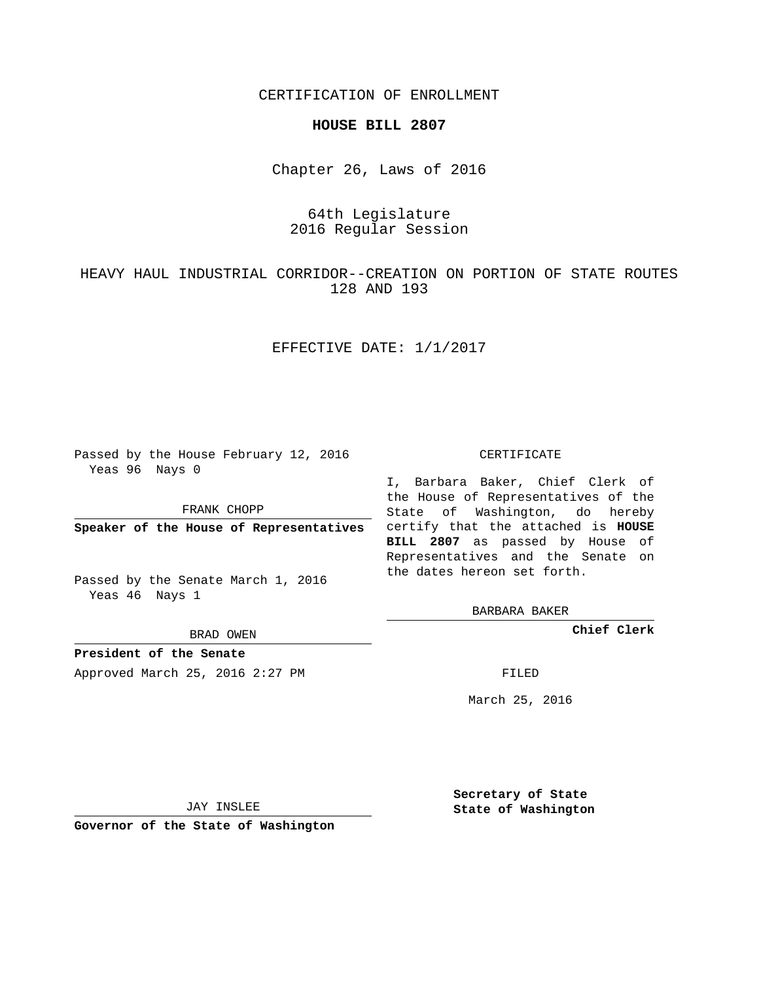CERTIFICATION OF ENROLLMENT

#### **HOUSE BILL 2807**

Chapter 26, Laws of 2016

# 64th Legislature 2016 Regular Session

HEAVY HAUL INDUSTRIAL CORRIDOR--CREATION ON PORTION OF STATE ROUTES 128 AND 193

## EFFECTIVE DATE: 1/1/2017

Passed by the House February 12, 2016 Yeas 96 Nays 0

FRANK CHOPP

Passed by the Senate March 1, 2016 Yeas 46 Nays 1

BRAD OWEN

**President of the Senate**

Approved March 25, 2016 2:27 PM FILED

#### CERTIFICATE

**Speaker of the House of Representatives** certify that the attached is **HOUSE** I, Barbara Baker, Chief Clerk of the House of Representatives of the State of Washington, do hereby **BILL 2807** as passed by House of Representatives and the Senate on the dates hereon set forth.

BARBARA BAKER

**Chief Clerk**

March 25, 2016

JAY INSLEE

**Governor of the State of Washington**

**Secretary of State State of Washington**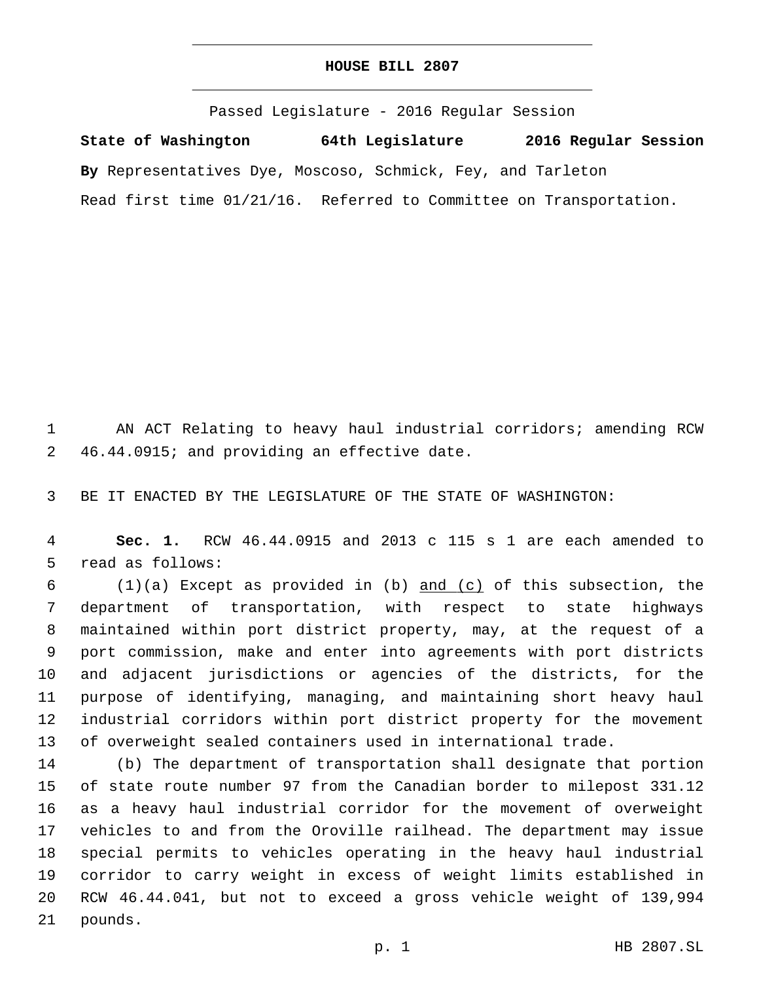### **HOUSE BILL 2807**

Passed Legislature - 2016 Regular Session **State of Washington 64th Legislature 2016 Regular Session By** Representatives Dye, Moscoso, Schmick, Fey, and Tarleton Read first time 01/21/16. Referred to Committee on Transportation.

 AN ACT Relating to heavy haul industrial corridors; amending RCW 2 46.44.0915; and providing an effective date.

BE IT ENACTED BY THE LEGISLATURE OF THE STATE OF WASHINGTON:

 **Sec. 1.** RCW 46.44.0915 and 2013 c 115 s 1 are each amended to 5 read as follows:

 $(1)(a)$  Except as provided in (b) and (c) of this subsection, the department of transportation, with respect to state highways maintained within port district property, may, at the request of a port commission, make and enter into agreements with port districts and adjacent jurisdictions or agencies of the districts, for the purpose of identifying, managing, and maintaining short heavy haul industrial corridors within port district property for the movement of overweight sealed containers used in international trade.

 (b) The department of transportation shall designate that portion of state route number 97 from the Canadian border to milepost 331.12 as a heavy haul industrial corridor for the movement of overweight vehicles to and from the Oroville railhead. The department may issue special permits to vehicles operating in the heavy haul industrial corridor to carry weight in excess of weight limits established in RCW 46.44.041, but not to exceed a gross vehicle weight of 139,994 21 pounds.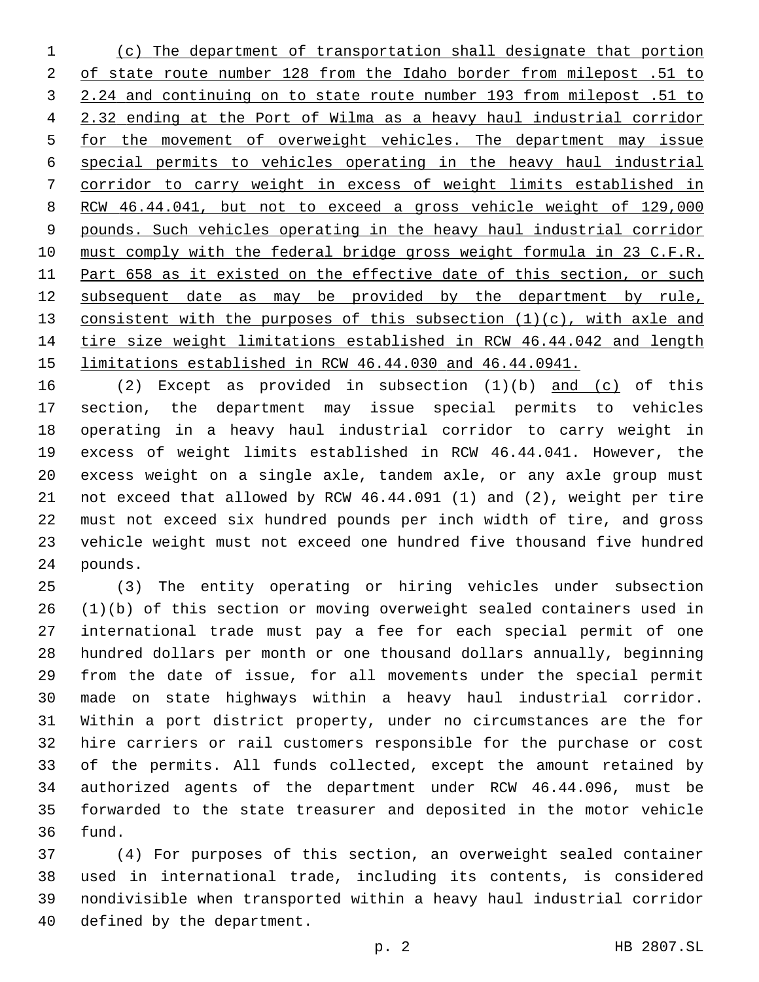(c) The department of transportation shall designate that portion of state route number 128 from the Idaho border from milepost .51 to 2.24 and continuing on to state route number 193 from milepost .51 to 2.32 ending at the Port of Wilma as a heavy haul industrial corridor for the movement of overweight vehicles. The department may issue special permits to vehicles operating in the heavy haul industrial corridor to carry weight in excess of weight limits established in RCW 46.44.041, but not to exceed a gross vehicle weight of 129,000 pounds. Such vehicles operating in the heavy haul industrial corridor must comply with the federal bridge gross weight formula in 23 C.F.R. 11 Part 658 as it existed on the effective date of this section, or such subsequent date as may be provided by the department by rule, 13 consistent with the purposes of this subsection  $(1)(c)$ , with axle and tire size weight limitations established in RCW 46.44.042 and length limitations established in RCW 46.44.030 and 46.44.0941.

 (2) Except as provided in subsection (1)(b) and (c) of this section, the department may issue special permits to vehicles operating in a heavy haul industrial corridor to carry weight in excess of weight limits established in RCW 46.44.041. However, the excess weight on a single axle, tandem axle, or any axle group must not exceed that allowed by RCW 46.44.091 (1) and (2), weight per tire must not exceed six hundred pounds per inch width of tire, and gross vehicle weight must not exceed one hundred five thousand five hundred 24 pounds.

 (3) The entity operating or hiring vehicles under subsection (1)(b) of this section or moving overweight sealed containers used in international trade must pay a fee for each special permit of one hundred dollars per month or one thousand dollars annually, beginning from the date of issue, for all movements under the special permit made on state highways within a heavy haul industrial corridor. Within a port district property, under no circumstances are the for hire carriers or rail customers responsible for the purchase or cost of the permits. All funds collected, except the amount retained by authorized agents of the department under RCW 46.44.096, must be forwarded to the state treasurer and deposited in the motor vehicle 36 fund.

 (4) For purposes of this section, an overweight sealed container used in international trade, including its contents, is considered nondivisible when transported within a heavy haul industrial corridor 40 defined by the department.